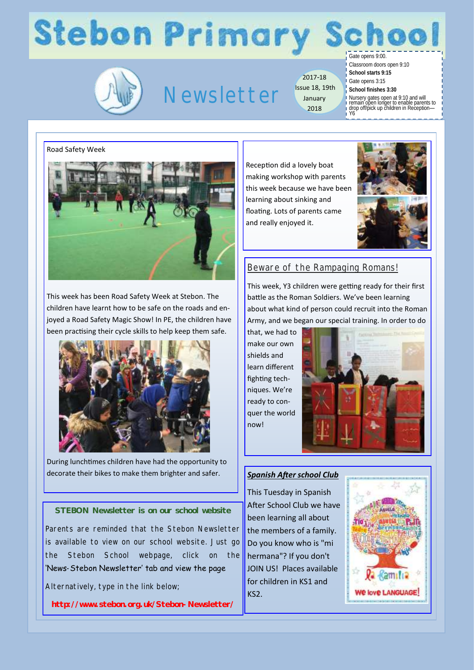# **Stebon Primary**



## Newsletter

2017-18 Issue 18, 19th January 2018

Gate opens 9:00. Classroom doors open 9:10

**School starts 9:15** Gate opens 3:15

**School finishes 3:30** Nursery gates open at 9:10 and will remain open longer to enable parents to drop off/pick up children in Reception— Y6

### Road Safety Week



This week has been Road Safety Week at Stebon. The children have learnt how to be safe on the roads and enjoyed a Road Safety Magic Show! In PE, the children have been practising their cycle skills to help keep them safe.



During lunchtimes children have had the opportunity to decorate their bikes to make them brighter and safer. *Spanish After school Club*

**STEBON Newsletter is on our school website**

Parents are reminded that the Stebon Newsletter is available to view on our school website. Just go the Stebon School webpage, click on the 'News-Stebon Newsletter' tab and view the page

Alternatively, type in the link below;

**http://www.stebon.org.uk/Stebon-Newsletter/**

Reception did a lovely boat making workshop with parents this week because we have been learning about sinking and floating. Lots of parents came and really enjoyed it.



## Beware of the Rampaging Romans!

This week, Y3 children were getting ready for their first battle as the Roman Soldiers. We've been learning about what kind of person could recruit into the Roman Army, and we began our special training. In order to do

that, we had to make our own shields and learn different fighting techniques. We're ready to conquer the world now!



This Tuesday in Spanish After School Club we have been learning all about the members of a family. Do you know who is "mi hermana"? If you don't JOIN US! Places available for children in KS1 and KS2.